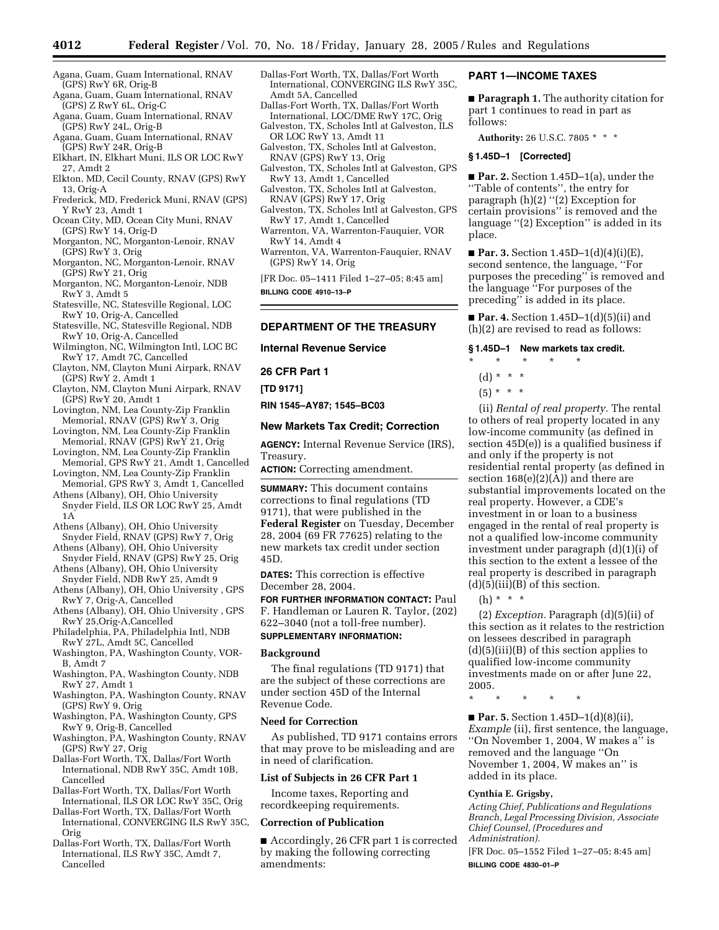- Agana, Guam, Guam International, RNAV (GPS) RwY 6R, Orig-B
- Agana, Guam, Guam International, RNAV (GPS) Z RwY 6L, Orig-C
- Agana, Guam, Guam International, RNAV (GPS) RwY 24L, Orig-B
- Agana, Guam, Guam International, RNAV (GPS) RwY 24R, Orig-B
- Elkhart, IN, Elkhart Muni, ILS OR LOC RwY 27, Amdt 2
- Elkton, MD, Cecil County, RNAV (GPS) RwY 13, Orig-A
- Frederick, MD, Frederick Muni, RNAV (GPS) Y RwY 23, Amdt 1
- Ocean City, MD, Ocean City Muni, RNAV (GPS) RwY 14, Orig-D
- Morganton, NC, Morganton-Lenoir, RNAV (GPS) RwY 3, Orig
- Morganton, NC, Morganton-Lenoir, RNAV (GPS) RwY 21, Orig
- Morganton, NC, Morganton-Lenoir, NDB RwY 3, Amdt 5
- Statesville, NC, Statesville Regional, LOC RwY 10, Orig-A, Cancelled
- Statesville, NC, Statesville Regional, NDB RwY 10, Orig-A, Cancelled
- Wilmington, NC, Wilmington Intl, LOC BC RwY 17, Amdt 7C, Cancelled
- Clayton, NM, Clayton Muni Airpark, RNAV (GPS) RwY 2, Amdt 1
- Clayton, NM, Clayton Muni Airpark, RNAV (GPS) RwY 20, Amdt 1
- Lovington, NM, Lea County-Zip Franklin Memorial, RNAV (GPS) RwY 3, Orig
- Lovington, NM, Lea County-Zip Franklin Memorial, RNAV (GPS) RwY 21, Orig
- Lovington, NM, Lea County-Zip Franklin Memorial, GPS RwY 21, Amdt 1, Cancelled
- Lovington, NM, Lea County-Zip Franklin Memorial, GPS RwY 3, Amdt 1, Cancelled
- Athens (Albany), OH, Ohio University Snyder Field, ILS OR LOC RwY 25, Amdt 1A
- Athens (Albany), OH, Ohio University Snyder Field, RNAV (GPS) RwY 7, Orig
- Athens (Albany), OH, Ohio University Snyder Field, RNAV (GPS) RwY 25, Orig
- Athens (Albany), OH, Ohio University Snyder Field, NDB RwY 25, Amdt 9
- Athens (Albany), OH, Ohio University , GPS RwY 7, Orig-A, Cancelled
- Athens (Albany), OH, Ohio University , GPS RwY 25,Orig-A,Cancelled
- Philadelphia, PA, Philadelphia Intl, NDB RwY 27L, Amdt 5C, Cancelled
- Washington, PA, Washington County, VOR-B, Amdt 7
- Washington, PA, Washington County, NDB RwY 27, Amdt 1
- Washington, PA, Washington County, RNAV (GPS) RwY 9, Orig
- Washington, PA, Washington County, GPS RwY 9, Orig-B, Cancelled
- Washington, PA, Washington County, RNAV (GPS) RwY 27, Orig
- Dallas-Fort Worth, TX, Dallas/Fort Worth International, NDB RwY 35C, Amdt 10B, Cancelled
- Dallas-Fort Worth, TX, Dallas/Fort Worth International, ILS OR LOC RwY 35C, Orig
- Dallas-Fort Worth, TX, Dallas/Fort Worth International, CONVERGING ILS RwY 35C, Orig
- Dallas-Fort Worth, TX, Dallas/Fort Worth International, ILS RwY 35C, Amdt 7, Cancelled
- Dallas-Fort Worth, TX, Dallas/Fort Worth International, CONVERGING ILS RwY 35C, Amdt 5A, Cancelled
- Dallas-Fort Worth, TX, Dallas/Fort Worth International, LOC/DME RwY 17C, Orig

Galveston, TX, Scholes Intl at Galveston, ILS OR LOC RwY 13, Amdt 11

- Galveston, TX, Scholes Intl at Galveston, RNAV (GPS) RwY 13, Orig
- Galveston, TX, Scholes Intl at Galveston, GPS RwY 13, Amdt 1, Cancelled
- Galveston, TX, Scholes Intl at Galveston, RNAV (GPS) RwY 17, Orig
- Galveston, TX, Scholes Intl at Galveston, GPS RwY 17, Amdt 1, Cancelled
- Warrenton, VA, Warrenton-Fauquier, VOR RwY 14, Amdt 4
- Warrenton, VA, Warrenton-Fauquier, RNAV (GPS) RwY 14, Orig

[FR Doc. 05–1411 Filed 1–27–05; 8:45 am] **BILLING CODE 4910–13–P**

# **DEPARTMENT OF THE TREASURY**

**Internal Revenue Service** 

**26 CFR Part 1** 

**[TD 9171]** 

**RIN 1545–AY87; 1545–BC03** 

#### **New Markets Tax Credit; Correction**

**AGENCY:** Internal Revenue Service (IRS), Treasury.

**ACTION:** Correcting amendment.

**SUMMARY:** This document contains corrections to final regulations (TD 9171), that were published in the **Federal Register** on Tuesday, December 28, 2004 (69 FR 77625) relating to the new markets tax credit under section 45D.

**DATES:** This correction is effective December 28, 2004.

**FOR FURTHER INFORMATION CONTACT:** Paul F. Handleman or Lauren R. Taylor, (202) 622–3040 (not a toll-free number). **SUPPLEMENTARY INFORMATION:** 

# **Background**

The final regulations (TD 9171) that are the subject of these corrections are under section 45D of the Internal Revenue Code.

#### **Need for Correction**

As published, TD 9171 contains errors that may prove to be misleading and are in need of clarification.

### **List of Subjects in 26 CFR Part 1**

Income taxes, Reporting and recordkeeping requirements.

#### **Correction of Publication**

■ Accordingly, 26 CFR part 1 is corrected by making the following correcting amendments:

#### **PART 1—INCOME TAXES**

■ **Paragraph 1.** The authority citation for part 1 continues to read in part as follows:

**Authority:** 26 U.S.C. 7805 \* \* \*

#### **§ 1.45D–1 [Corrected]**

■ **Par. 2.** Section 1.45D–1(a), under the ''Table of contents'', the entry for paragraph  $(h)(2)$  "(2) Exception for certain provisions'' is removed and the language ''(2) Exception'' is added in its place.

■ **Par. 3.** Section 1.45D-1(d)(4)(i)(E), second sentence, the language, ''For purposes the preceding'' is removed and the language ''For purposes of the preceding'' is added in its place.

■ **Par. 4.** Section 1.45D–1(d)(5)(ii) and (h)(2) are revised to read as follows:

# **§ 1.45D–1 New markets tax credit.**

- \* \* \* \* \* (d) \* \* \*
	- $(5) * * * *$

(ii) *Rental of real property.* The rental to others of real property located in any low-income community (as defined in section 45D(e)) is a qualified business if and only if the property is not residential rental property (as defined in section 168(e)(2)(A)) and there are substantial improvements located on the real property. However, a CDE's investment in or loan to a business engaged in the rental of real property is not a qualified low-income community investment under paragraph (d)(1)(i) of this section to the extent a lessee of the real property is described in paragraph (d)(5)(iii)(B) of this section.

(h) \* \* \*

(2) *Exception.* Paragraph (d)(5)(ii) of this section as it relates to the restriction on lessees described in paragraph (d)(5)(iii)(B) of this section applies to qualified low-income community investments made on or after June 22, 2005.

\* \* \* \* \*

■ **Par. 5.** Section 1.45D–1(d)(8)(ii), *Example* (ii), first sentence, the language, ''On November 1, 2004, W makes a'' is removed and the language ''On November 1, 2004, W makes an'' is added in its place.

### **Cynthia E. Grigsby,**

*Acting Chief, Publications and Regulations Branch, Legal Processing Division, Associate Chief Counsel, (Procedures and Administration).*

[FR Doc. 05–1552 Filed 1–27–05; 8:45 am] **BILLING CODE 4830–01–P**